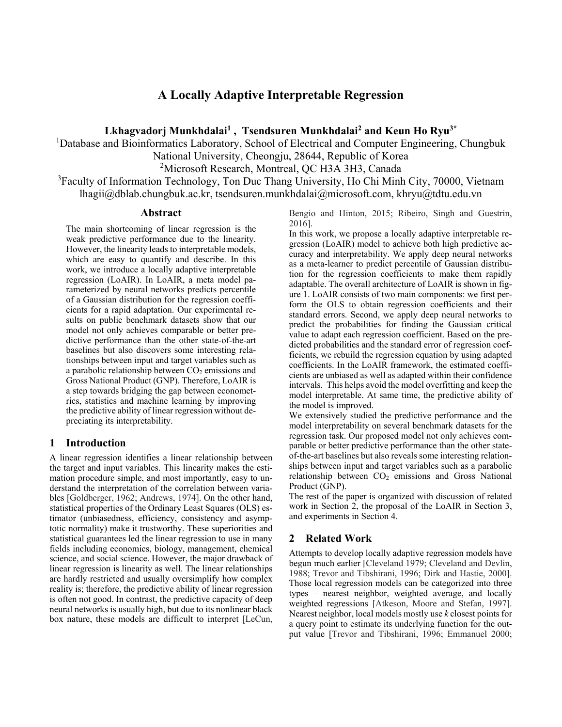# **A Locally Adaptive Interpretable Regression**

**Lkhagvadorj Munkhdalai1 , Tsendsuren Munkhdalai2 and Keun Ho Ryu3\***

<sup>1</sup>Database and Bioinformatics Laboratory, School of Electrical and Computer Engineering, Chungbuk

National University, Cheongju, 28644, Republic of Korea

<sup>2</sup>Microsoft Research, Montreal, QC H3A 3H3, Canada

<sup>3</sup>Faculty of Information Technology, Ton Duc Thang University, Ho Chi Minh City, 70000, Vietnam lhagii@dblab.chungbuk.ac.kr, tsendsuren.munkhdalai@microsoft.com, khryu@tdtu.edu.vn

#### **Abstract**

The main shortcoming of linear regression is the weak predictive performance due to the linearity. However, the linearity leads to interpretable models, which are easy to quantify and describe. In this work, we introduce a locally adaptive interpretable regression (LoAIR). In LoAIR, a meta model parameterized by neural networks predicts percentile of a Gaussian distribution for the regression coefficients for a rapid adaptation. Our experimental results on public benchmark datasets show that our model not only achieves comparable or better predictive performance than the other state-of-the-art baselines but also discovers some interesting relationships between input and target variables such as a parabolic relationship between  $CO<sub>2</sub>$  emissions and Gross National Product (GNP). Therefore, LoAIR is a step towards bridging the gap between econometrics, statistics and machine learning by improving the predictive ability of linear regression without depreciating its interpretability.

# **1 Introduction**

A linear regression identifies a linear relationship between the target and input variables. This linearity makes the estimation procedure simple, and most importantly, easy to understand the interpretation of the correlation between variables [Goldberger, 1962; Andrews, 1974]. On the other hand, statistical properties of the Ordinary Least Squares (OLS) estimator (unbiasedness, efficiency, consistency and asymptotic normality) make it trustworthy. These superiorities and statistical guarantees led the linear regression to use in many fields including economics, biology, management, chemical science, and social science. However, the major drawback of linear regression is linearity as well. The linear relationships are hardly restricted and usually oversimplify how complex reality is; therefore, the predictive ability of linear regression is often not good. In contrast, the predictive capacity of deep neural networks is usually high, but due to its nonlinear black box nature, these models are difficult to interpret [LeCun,

Bengio and Hinton, 2015; Ribeiro, Singh and Guestrin, 2016].

In this work, we propose a locally adaptive interpretable regression (LoAIR) model to achieve both high predictive accuracy and interpretability. We apply deep neural networks as a meta-learner to predict percentile of Gaussian distribution for the regression coefficients to make them rapidly adaptable. The overall architecture of LoAIR is shown in figure 1. LoAIR consists of two main components: we first perform the OLS to obtain regression coefficients and their standard errors. Second, we apply deep neural networks to predict the probabilities for finding the Gaussian critical value to adapt each regression coefficient. Based on the predicted probabilities and the standard error of regression coefficients, we rebuild the regression equation by using adapted coefficients. In the LoAIR framework, the estimated coefficients are unbiased as well as adapted within their confidence intervals. This helps avoid the model overfitting and keep the model interpretable. At same time, the predictive ability of the model is improved.

We extensively studied the predictive performance and the model interpretability on several benchmark datasets for the regression task. Our proposed model not only achieves comparable or better predictive performance than the other stateof-the-art baselines but also reveals some interesting relationships between input and target variables such as a parabolic relationship between CO<sub>2</sub> emissions and Gross National Product (GNP).

The rest of the paper is organized with discussion of related work in Section 2, the proposal of the LoAIR in Section 3, and experiments in Section 4.

# **2 Related Work**

Attempts to develop locally adaptive regression models have begun much earlier [Cleveland 1979; Cleveland and Devlin, 1988; Trevor and Tibshirani, 1996; Dirk and Hastie, 2000]. Those local regression models can be categorized into three types – nearest neighbor, weighted average, and locally weighted regressions [Atkeson, Moore and Stefan, 1997]. Nearest neighbor, local models mostly use *k* closest points for a query point to estimate its underlying function for the output value [Trevor and Tibshirani, 1996; Emmanuel 2000;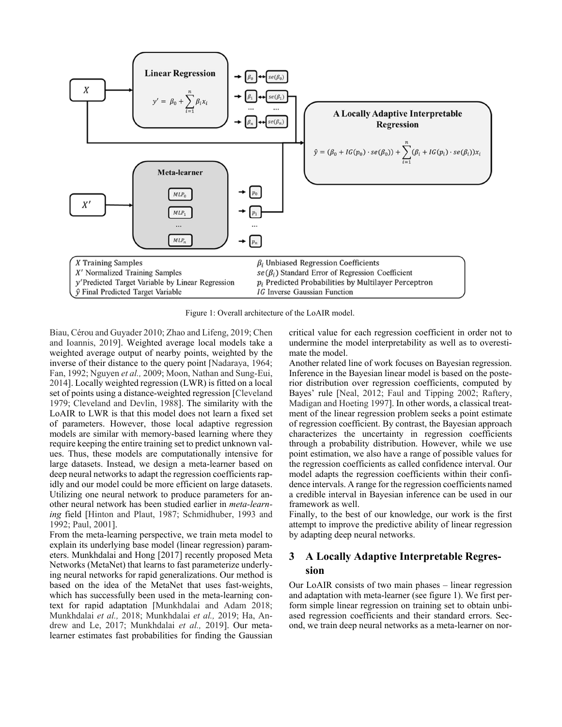

Figure 1: Overall architecture of the LoAIR model.

Biau, Cérou and Guyader 2010; Zhao and Lifeng, 2019; Chen and Ioannis, 2019]. Weighted average local models take a weighted average output of nearby points, weighted by the inverse of their distance to the query point [Nadaraya, 1964; Fan, 1992; Nguyen *et al.,* 2009; Moon, Nathan and Sung-Eui, 2014]. Locally weighted regression (LWR) is fitted on a local set of points using a distance-weighted regression [Cleveland 1979; Cleveland and Devlin, 1988]. The similarity with the LoAIR to LWR is that this model does not learn a fixed set of parameters. However, those local adaptive regression models are similar with memory-based learning where they require keeping the entire training set to predict unknown values. Thus, these models are computationally intensive for large datasets. Instead, we design a meta-learner based on deep neural networks to adapt the regression coefficients rapidly and our model could be more efficient on large datasets. Utilizing one neural network to produce parameters for another neural network has been studied earlier in *meta-learning* field [Hinton and Plaut, 1987; Schmidhuber, 1993 and 1992; Paul, 2001].

From the meta-learning perspective, we train meta model to explain its underlying base model (linear regression) parameters. Munkhdalai and Hong [2017] recently proposed Meta Networks (MetaNet) that learns to fast parameterize underlying neural networks for rapid generalizations. Our method is based on the idea of the MetaNet that uses fast-weights, which has successfully been used in the meta-learning context for rapid adaptation [Munkhdalai and Adam 2018; Munkhdalai *et al.,* 2018; Munkhdalai *et al.,* 2019; Ha, Andrew and Le, 2017; Munkhdalai *et al.,* 2019]. Our metalearner estimates fast probabilities for finding the Gaussian critical value for each regression coefficient in order not to undermine the model interpretability as well as to overestimate the model.

Another related line of work focuses on Bayesian regression. Inference in the Bayesian linear model is based on the posterior distribution over regression coefficients, computed by Bayes' rule [Neal, 2012; Faul and Tipping 2002; Raftery, Madigan and Hoeting 1997]. In other words, a classical treatment of the linear regression problem seeks a point estimate of regression coefficient. By contrast, the Bayesian approach characterizes the uncertainty in regression coefficients through a probability distribution. However, while we use point estimation, we also have a range of possible values for the regression coefficients as called confidence interval. Our model adapts the regression coefficients within their confidence intervals. A range for the regression coefficients named a credible interval in Bayesian inference can be used in our framework as well.

Finally, to the best of our knowledge, our work is the first attempt to improve the predictive ability of linear regression by adapting deep neural networks.

# **3 A Locally Adaptive Interpretable Regression**

Our LoAIR consists of two main phases – linear regression and adaptation with meta-learner (see figure 1). We first perform simple linear regression on training set to obtain unbiased regression coefficients and their standard errors. Second, we train deep neural networks as a meta-learner on nor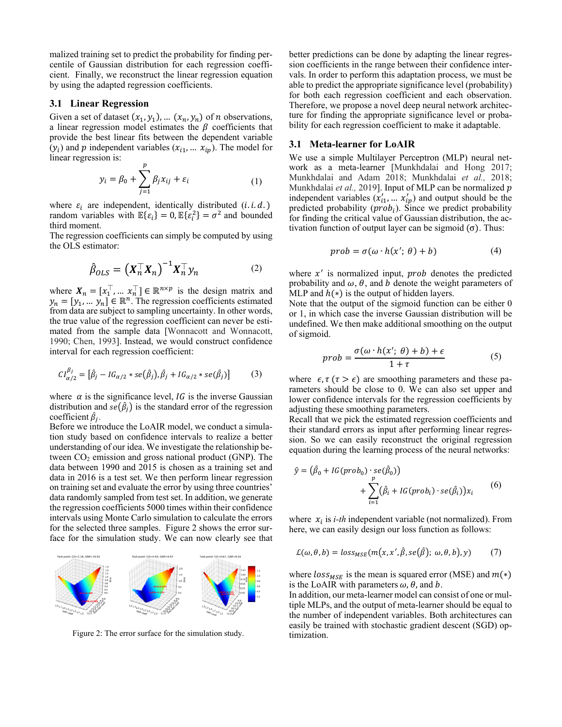malized training set to predict the probability for finding percentile of Gaussian distribution for each regression coefficient. Finally, we reconstruct the linear regression equation by using the adapted regression coefficients.

#### **3.1 Linear Regression**

Given a set of dataset  $(x_1, y_1)$ , ...  $(x_n, y_n)$  of *n* observations, a linear regression model estimates the  $\beta$  coefficients that provide the best linear fits between the dependent variable  $(y_i)$  and p independent variables  $(x_{i1}, \ldots, x_{ip})$ . The model for linear regression is:

$$
y_i = \beta_0 + \sum_{j=1}^p \beta_j x_{ij} + \varepsilon_i \tag{1}
$$

where  $\varepsilon_i$  are independent, identically distributed (*i.i.d.*) random variables with  $\mathbb{E}\{\varepsilon_i\} = 0$ ,  $\mathbb{E}\{\varepsilon_i^2\} = \sigma^2$  and bounded third moment.

The regression coefficients can simply be computed by using the OLS estimator:

$$
\hat{\beta}_{OLS} = \left(X_n^\top X_n\right)^{-1} X_n^\top y_n \tag{2}
$$

where  $X_n = [x_1^\top, \dots, x_n^\top] \in \mathbb{R}^{n \times p}$  is the design matrix and  $y_n = [y_1, ..., y_n] \in \mathbb{R}^n$ . The regression coefficients estimated from data are subject to sampling uncertainty. In other words, the true value of the regression coefficient can never be estimated from the sample data [Wonnacott and Wonnacott, 1990; Chen, 1993]. Instead, we would construct confidence interval for each regression coefficient:

$$
CI_{\alpha/2}^{\beta_j} = [\hat{\beta}_j - IG_{\alpha/2} * se(\hat{\beta}_j), \hat{\beta}_j + IG_{\alpha/2} * se(\hat{\beta}_j)]
$$
 (3)

where  $\alpha$  is the significance level, *IG* is the inverse Gaussian distribution and  $se(\hat{\beta}_j)$  is the standard error of the regression coefficient  $\hat{\beta}_j$ .

Before we introduce the LoAIR model, we conduct a simulation study based on confidence intervals to realize a better understanding of our idea. We investigate the relationship between  $CO<sub>2</sub>$  emission and gross national product (GNP). The data between 1990 and 2015 is chosen as a training set and data in 2016 is a test set. We then perform linear regression on training set and evaluate the error by using three countries' data randomly sampled from test set. In addition, we generate the regression coefficients 5000 times within their confidence intervals using Monte Carlo simulation to calculate the errors for the selected three samples. Figure 2 shows the error surface for the simulation study. We can now clearly see that



Figure 2: The error surface for the simulation study. timization.

better predictions can be done by adapting the linear regression coefficients in the range between their confidence intervals. In order to perform this adaptation process, we must be able to predict the appropriate significance level (probability) for both each regression coefficient and each observation. Therefore, we propose a novel deep neural network architecture for finding the appropriate significance level or probability for each regression coefficient to make it adaptable.

#### **3.1 Meta-learner for LoAIR**

We use a simple Multilayer Perceptron (MLP) neural network as a meta-learner [Munkhdalai and Hong 2017; Munkhdalai and Adam 2018; Munkhdalai *et al.,* 2018; Munkhdalai et al., 2019]. Input of MLP can be normalized p independent variables  $(x'_{i1}, ..., x'_{ip})$  and output should be the predicted probability  $(prob_i)$ . Since we predict probability for finding the critical value of Gaussian distribution, the activation function of output layer can be sigmoid  $(\sigma)$ . Thus:

$$
prob = \sigma(\omega \cdot h(x'; \theta) + b)
$$
 (4)

where  $x'$  is normalized input,  $prob$  denotes the predicted probability and  $\omega$ ,  $\theta$ , and  $\dot{\theta}$  denote the weight parameters of MLP and  $h(*)$  is the output of hidden layers.

Note that the output of the sigmoid function can be either 0 or 1, in which case the inverse Gaussian distribution will be undefined. We then make additional smoothing on the output of sigmoid.

$$
prob = \frac{\sigma(\omega \cdot h(x'; \theta) + b) + \epsilon}{1 + \tau}
$$
 (5)

where  $\epsilon, \tau$  ( $\tau > \epsilon$ ) are smoothing parameters and these parameters should be close to 0. We can also set upper and lower confidence intervals for the regression coefficients by adjusting these smoothing parameters.

Recall that we pick the estimated regression coefficients and their standard errors as input after performing linear regression. So we can easily reconstruct the original regression equation during the learning process of the neural networks:

$$
\hat{y} = (\hat{\beta}_0 + IG(prob_0) \cdot se(\hat{\beta}_0)) + \sum_{i=1}^{p} (\hat{\beta}_i + IG(prob_i) \cdot se(\hat{\beta}_i))x_i
$$
(6)

where  $x_i$  is *i-th* independent variable (not normalized). From here, we can easily design our loss function as follows:

$$
\mathcal{L}(\omega,\theta,b) = loss_{MSE}(m(x,x',\hat{\beta},se(\hat{\beta});\omega,\theta,b),y)
$$
 (7)

where  $loss_{MSE}$  is the mean is squared error (MSE) and  $m(*)$ is the LoAIR with parameters  $\omega$ ,  $\theta$ , and  $\dot{\theta}$ .

In addition, our meta-learner model can consist of one or multiple MLPs, and the output of meta-learner should be equal to the number of independent variables. Both architectures can easily be trained with stochastic gradient descent (SGD) op-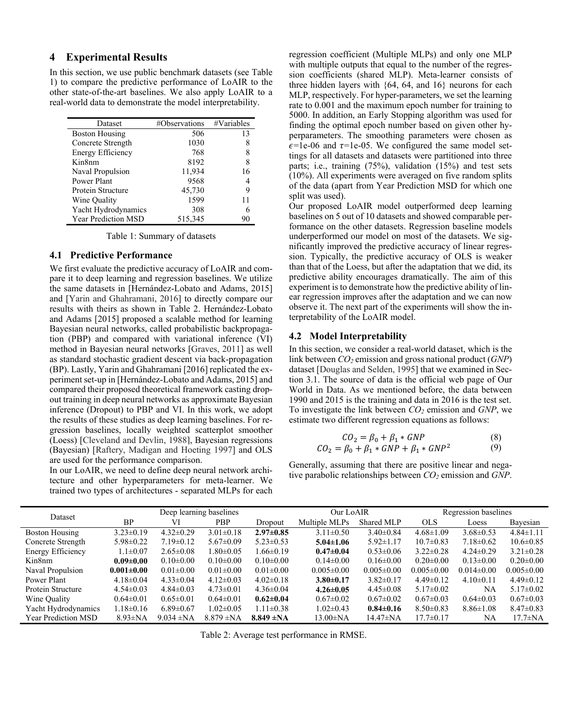#### **4 Experimental Results**

In this section, we use public benchmark datasets (see Table 1) to compare the predictive performance of LoAIR to the other state-of-the-art baselines. We also apply LoAIR to a real-world data to demonstrate the model interpretability.

| Dataset                    | #Observations | #Variables |
|----------------------------|---------------|------------|
| <b>Boston Housing</b>      | 506           | 13         |
| Concrete Strength          | 1030          | 8          |
| <b>Energy Efficiency</b>   | 768           | 8          |
| Kin8nm                     | 8192          | 8          |
| Naval Propulsion           | 11,934        | 16         |
| Power Plant                | 9568          | 4          |
| Protein Structure          | 45,730        | 9          |
| Wine Quality               | 1599          | 11         |
| Yacht Hydrodynamics        | 308           | 6          |
| <b>Year Prediction MSD</b> | 515,345       | 90         |

Table 1: Summary of datasets

#### **4.1 Predictive Performance**

We first evaluate the predictive accuracy of LoAIR and compare it to deep learning and regression baselines. We utilize the same datasets in [Hernández-Lobato and Adams, 2015] and [Yarin and Ghahramani, 2016] to directly compare our results with theirs as shown in Table 2. Hernández-Lobato and Adams [2015] proposed a scalable method for learning Bayesian neural networks, called probabilistic backpropagation (PBP) and compared with variational inference (VI) method in Bayesian neural networks [Graves, 2011] as well as standard stochastic gradient descent via back-propagation (BP). Lastly, Yarin and Ghahramani [2016] replicated the experiment set-up in [Hernández-Lobato and Adams, 2015] and compared their proposed theoretical framework casting dropout training in deep neural networks as approximate Bayesian inference (Dropout) to PBP and VI. In this work, we adopt the results of these studies as deep learning baselines. For regression baselines, locally weighted scatterplot smoother (Loess) [Cleveland and Devlin, 1988], Bayesian regressions (Bayesian) [Raftery, Madigan and Hoeting 1997] and OLS are used for the performance comparison.

In our LoAIR, we need to define deep neural network architecture and other hyperparameters for meta-learner. We trained two types of architectures - separated MLPs for each regression coefficient (Multiple MLPs) and only one MLP with multiple outputs that equal to the number of the regression coefficients (shared MLP). Meta-learner consists of three hidden layers with {64, 64, and 16} neurons for each MLP, respectively. For hyper-parameters, we set the learning rate to 0.001 and the maximum epoch number for training to 5000. In addition, an Early Stopping algorithm was used for finding the optimal epoch number based on given other hyperparameters. The smoothing parameters were chosen as  $\epsilon$ =1e-06 and  $\tau$ =1e-05. We configured the same model settings for all datasets and datasets were partitioned into three parts; i.e., training (75%), validation (15%) and test sets (10%). All experiments were averaged on five random splits of the data (apart from Year Prediction MSD for which one split was used).

Our proposed LoAIR model outperformed deep learning baselines on 5 out of 10 datasets and showed comparable performance on the other datasets. Regression baseline models underperformed our model on most of the datasets. We significantly improved the predictive accuracy of linear regression. Typically, the predictive accuracy of OLS is weaker than that of the Loess, but after the adaptation that we did, its predictive ability encourages dramatically. The aim of this experiment is to demonstrate how the predictive ability of linear regression improves after the adaptation and we can now observe it. The next part of the experiments will show the interpretability of the LoAIR model.

#### **4.2 Model Interpretability**

In this section, we consider a real-world dataset, which is the link between *CO2* emission and gross national product (*GNP*) dataset [Douglas and Selden, 1995] that we examined in Section 3.1. The source of data is the official web page of Our World in Data. As we mentioned before, the data between 1990 and 2015 is the training and data in 2016 is the test set. To investigate the link between *CO2* emission and *GNP*, we estimate two different regression equations as follows:

$$
CO_2 = \beta_0 + \beta_1 * GNP
$$
  
\n
$$
CO_2 = \beta_0 + \beta_1 * GNP + \beta_1 * GNP^2
$$
\n(8)

Generally, assuming that there are positive linear and negative parabolic relationships between *CO2* emission and *GNP*.

| Dataset             | Deep learning baselines |                 |                 | Our LoAIR       |                  | Regression baselines |                  |                 |                  |
|---------------------|-------------------------|-----------------|-----------------|-----------------|------------------|----------------------|------------------|-----------------|------------------|
|                     | <b>BP</b>               | VI              | PBP             | Dropout         | Multiple MLPs    | Shared MLP           | <b>OLS</b>       | Loess           | Bayesian         |
| Boston Housing      | $3.23 \pm 0.19$         | $4.32 \pm 0.29$ | $3.01 \pm 0.18$ | $2.97 \pm 0.85$ | $3.11 \pm 0.50$  | $3.40 \pm 0.84$      | $4.68 \pm 1.09$  | $3.68 \pm 0.53$ | $4.84 \pm 1.11$  |
| Concrete Strength   | $5.98 \pm 0.22$         | $7.19 \pm 0.12$ | $5.67 \pm 0.09$ | $5.23 \pm 0.53$ | $5.04 \pm 1.06$  | $5.92 \pm 1.17$      | $10.7 \pm 0.83$  | $7.18 \pm 0.62$ | $10.6 \pm 0.85$  |
| Energy Efficiency   | $1.1 \pm 0.07$          | $2.65 \pm 0.08$ | $1.80 \pm 0.05$ | $1.66 \pm 0.19$ | $0.47 \pm 0.04$  | $0.53 \pm 0.06$      | $3.22 \pm 0.28$  | $4.24\pm0.29$   | $3.21 \pm 0.28$  |
| Kin8nm              | $0.09 \pm 0.00$         | $0.10 \pm 0.00$ | $0.10 \pm 0.00$ | $0.10 \pm 0.00$ | $0.14 \pm 0.00$  | $0.16 \pm 0.00$      | $0.20 \pm 0.00$  | $0.13 \pm 0.00$ | $0.20 \pm 0.00$  |
| Naval Propulsion    | $0.001 \pm 0.00$        | $0.01 \pm 0.00$ | $0.01 \pm 0.00$ | $0.01 \pm 0.00$ | $0.005 \pm 0.00$ | $0.005 \pm 0.00$     | $0.005 \pm 0.00$ | $0.014\pm0.00$  | $0.005 \pm 0.00$ |
| Power Plant         | $4.18 \pm 0.04$         | $4.33 \pm 0.04$ | $4.12 \pm 0.03$ | $4.02 \pm 0.18$ | $3.80 \pm 0.17$  | $3.82 \pm 0.17$      | $4.49\pm0.12$    | $4.10\pm0.11$   | $4.49\pm0.12$    |
| Protein Structure   | $4.54 \pm 0.03$         | $4.84 \pm 0.03$ | $4.73 \pm 0.01$ | $4.36 \pm 0.04$ | $4.26 \pm 0.05$  | $4.45 \pm 0.08$      | $5.17 \pm 0.02$  | <b>NA</b>       | $5.17\pm0.02$    |
| Wine Quality        | $0.64 \pm 0.01$         | $0.65 \pm 0.01$ | $0.64 \pm 0.01$ | $0.62 \pm 0.04$ | $0.67 \pm 0.02$  | $0.67 \pm 0.02$      | $0.67 \pm 0.03$  | $0.64 \pm 0.03$ | $0.67 \pm 0.03$  |
| Yacht Hydrodynamics | $1.18 \pm 0.16$         | $6.89 \pm 0.67$ | $1.02 \pm 0.05$ | $1.11 \pm 0.38$ | $1.02 \pm 0.43$  | $0.84 \pm 0.16$      | $8.50 \pm 0.83$  | $8.86 \pm 1.08$ | $8.47\pm0.83$    |
| Year Prediction MSD | $8.93 \pm NA$           | $9.034 \pm NA$  | $8.879 \pm NA$  | $8.849 \pm NA$  | $13.00 \pm NA$   | $14.47 \pm NA$       | $17.7 \pm 0.17$  | NA              | $17.7 \pm NA$    |

Table 2: Average test performance in RMSE.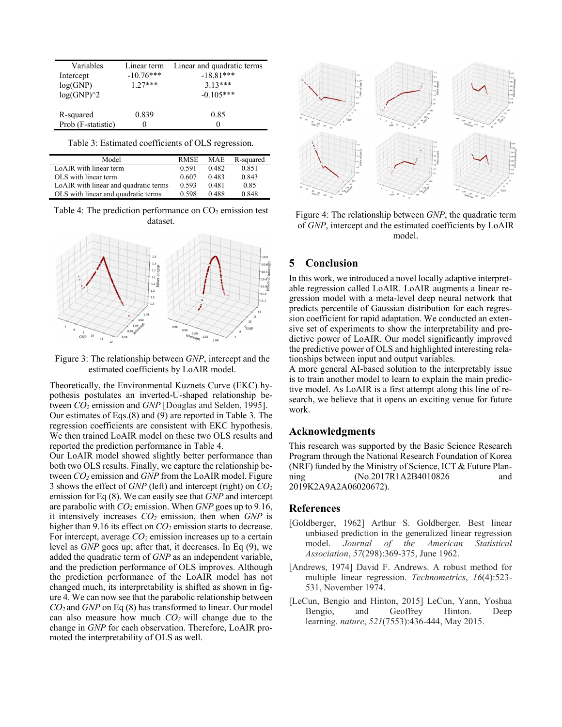| Variables          | Linear term | Linear and quadratic terms |
|--------------------|-------------|----------------------------|
| Intercept          | $-10.76***$ | $-18.81***$                |
| log(GNP)           | $1.27***$   | $3.13***$                  |
| $log(GNP)^2$       |             | $-0.105***$                |
|                    |             |                            |
| R-squared          | 0.839       | 0.85                       |
| Prob (F-statistic) |             |                            |

Table 3: Estimated coefficients of OLS regression*.* 

| Model                                 | <b>RMSE</b> | <b>MAE</b> | R-squared |
|---------------------------------------|-------------|------------|-----------|
| LoAIR with linear term                | 0.591       | 0.482      | 0.851     |
| OLS with linear term                  | 0.607       | 0.483      | 0.843     |
| LoAIR with linear and quadratic terms | 0.593       | 0.481      | 0.85      |
| OLS with linear and quadratic terms   | 0.598       | 0.488      | 0.848     |

Table 4: The prediction performance on  $CO<sub>2</sub>$  emission test dataset.



Figure 3: The relationship between *GNP*, intercept and the estimated coefficients by LoAIR model.

Theoretically, the Environmental Kuznets Curve (EKC) hypothesis postulates an inverted-U-shaped relationship between *CO2* emission and *GNP* [Douglas and Selden, 1995]. Our estimates of Eqs.(8) and (9) are reported in Table 3. The regression coefficients are consistent with EKC hypothesis. We then trained LoAIR model on these two OLS results and reported the prediction performance in Table 4.

Our LoAIR model showed slightly better performance than both two OLS results. Finally, we capture the relationship between *CO2* emission and *GNP* from the LoAIR model. Figure 3 shows the effect of *GNP* (left) and intercept (right) on *CO2* emission for Eq (8). We can easily see that *GNP* and intercept are parabolic with *CO2* emission. When *GNP* goes up to 9.16, it intensively increases *CO2* emission, then when *GNP* is higher than 9.16 its effect on *CO*<sub>2</sub> emission starts to decrease. For intercept, average *CO*<sub>2</sub> emission increases up to a certain level as *GNP* goes up; after that, it decreases. In Eq (9), we added the quadratic term of *GNP* as an independent variable, and the prediction performance of OLS improves. Although the prediction performance of the LoAIR model has not changed much, its interpretability is shifted as shown in figure 4. We can now see that the parabolic relationship between *CO2* and *GNP* on Eq (8) has transformed to linear. Our model can also measure how much *CO2* will change due to the change in *GNP* for each observation. Therefore, LoAIR promoted the interpretability of OLS as well.



Figure 4: The relationship between *GNP*, the quadratic term of *GNP*, intercept and the estimated coefficients by LoAIR model.

# **5 Conclusion**

In this work, we introduced a novel locally adaptive interpretable regression called LoAIR. LoAIR augments a linear regression model with a meta-level deep neural network that predicts percentile of Gaussian distribution for each regression coefficient for rapid adaptation. We conducted an extensive set of experiments to show the interpretability and predictive power of LoAIR. Our model significantly improved the predictive power of OLS and highlighted interesting relationships between input and output variables.

A more general AI-based solution to the interpretably issue is to train another model to learn to explain the main predictive model. As LoAIR is a first attempt along this line of research, we believe that it opens an exciting venue for future work.

### **Acknowledgments**

This research was supported by the Basic Science Research Program through the National Research Foundation of Korea (NRF) funded by the Ministry of Science, ICT & Future Planning (No.2017R1A2B4010826 and 2019K2A9A2A06020672).

#### **References**

- [Goldberger, 1962] Arthur S. Goldberger. Best linear unbiased prediction in the generalized linear regression model. *Journal of the American Statistical Association*, *57*(298):369-375, June 1962.
- [Andrews, 1974] David F. Andrews. A robust method for multiple linear regression. *Technometrics*, *16*(4):523- 531, November 1974.
- [LeCun, Bengio and Hinton, 2015] LeCun, Yann, Yoshua Bengio, and Geoffrey Hinton. Deep learning. *nature*, *521*(7553):436-444, May 2015.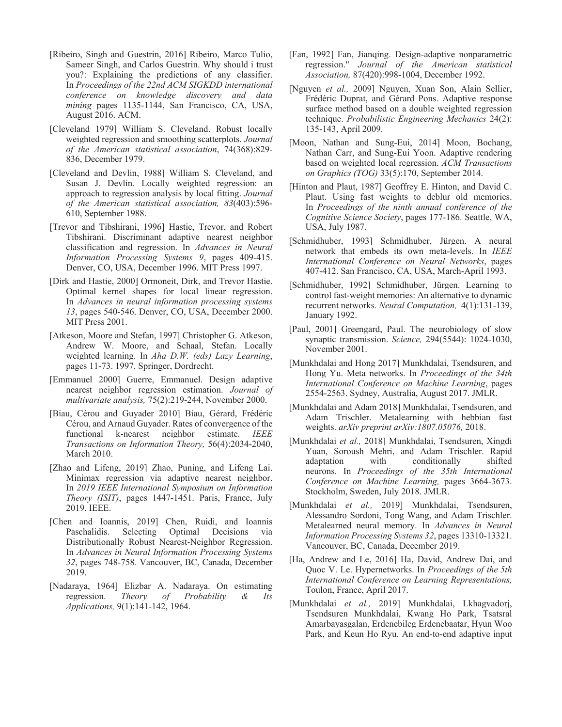- [Ribeiro, Singh and Guestrin, 2016] Ribeiro, Marco Tulio, Sameer Singh, and Carlos Guestrin. Why should i trust you?: Explaining the predictions of any classifier. In *Proceedings of the 22nd ACM SIGKDD international conference on knowledge discovery and data mining* pages 1135-1144, San Francisco, CA, USA, August 2016. ACM.
- [Cleveland 1979] William S. Cleveland. Robust locally weighted regression and smoothing scatterplots. *Journal of the American statistical association*, 74(368):829- 836, December 1979.
- [Cleveland and Devlin, 1988] William S. Cleveland, and Susan J. Devlin. Locally weighted regression: an approach to regression analysis by local fitting. *Journal of the American statistical association, 83*(403):596- 610, September 1988.
- [Trevor and Tibshirani, 1996] Hastie, Trevor, and Robert Tibshirani. Discriminant adaptive nearest neighbor classification and regression. In *Advances in Neural Information Processing Systems 9*, pages 409-415. Denver, CO, USA, December 1996. MIT Press 1997.
- [Dirk and Hastie, 2000] Ormoneit, Dirk, and Trevor Hastie. Optimal kernel shapes for local linear regression. In *Advances in neural information processing systems 13*, pages 540-546. Denver, CO, USA, December 2000. MIT Press 2001.
- [Atkeson, Moore and Stefan, 1997] Christopher G. Atkeson, Andrew W. Moore, and Schaal, Stefan. Locally weighted learning. In *Aha D.W. (eds) Lazy Learning*, pages 11-73. 1997. Springer, Dordrecht.
- [Emmanuel 2000] Guerre, Emmanuel. Design adaptive nearest neighbor regression estimation. *Journal of multivariate analysis,* 75(2):219-244, November 2000.
- [Biau, Cérou and Guyader 2010] Biau, Gérard, Frédéric Cérou, and Arnaud Guyader. Rates of convergence of the functional k-nearest neighbor estimate. *IEEE Transactions on Information Theory,* 56(4):2034-2040, March 2010.
- [Zhao and Lifeng, 2019] Zhao, Puning, and Lifeng Lai. Minimax regression via adaptive nearest neighbor. In *2019 IEEE International Symposium on Information Theory (ISIT)*, pages 1447-1451. Paris, France, July 2019. IEEE.
- [Chen and Ioannis, 2019] Chen, Ruidi, and Ioannis Paschalidis. Selecting Optimal Decisions via Distributionally Robust Nearest-Neighbor Regression. In *Advances in Neural Information Processing Systems 32*, pages 748-758. Vancouver, BC, Canada, December 2019.
- [Nadaraya, 1964] Elizbar A. Nadaraya. On estimating regression. *Theory of Probability & Its Applications,* 9(1):141-142, 1964.
- [Fan, 1992] Fan, Jianqing. Design-adaptive nonparametric regression." *Journal of the American statistical Association,* 87(420):998-1004, December 1992.
- [Nguyen *et al.,* 2009] Nguyen, Xuan Son, Alain Sellier, Frédéric Duprat, and Gérard Pons. Adaptive response surface method based on a double weighted regression technique. *Probabilistic Engineering Mechanics* 24(2): 135-143, April 2009.
- [Moon, Nathan and Sung-Eui, 2014] Moon, Bochang, Nathan Carr, and Sung-Eui Yoon. Adaptive rendering based on weighted local regression. *ACM Transactions on Graphics (TOG)* 33(5):170, September 2014.
- [Hinton and Plaut, 1987] Geoffrey E. Hinton, and David C. Plaut. Using fast weights to deblur old memories. In *Proceedings of the ninth annual conference of the Cognitive Science Society*, pages 177-186. Seattle, WA, USA, July 1987.
- [Schmidhuber, 1993] Schmidhuber, Jürgen. A neural network that embeds its own meta-levels. In *IEEE International Conference on Neural Networks*, pages 407-412. San Francisco, CA, USA, March-April 1993.
- [Schmidhuber, 1992] Schmidhuber, Jürgen. Learning to control fast-weight memories: An alternative to dynamic recurrent networks. *Neural Computation,* 4(1):131-139, January 1992.
- [Paul, 2001] Greengard, Paul. The neurobiology of slow synaptic transmission. *Science,* 294(5544): 1024-1030, November 2001.
- [Munkhdalai and Hong 2017] Munkhdalai, Tsendsuren, and Hong Yu. Meta networks. In *Proceedings of the 34th International Conference on Machine Learning*, pages 2554-2563. Sydney, Australia, August 2017. JMLR.
- [Munkhdalai and Adam 2018] Munkhdalai, Tsendsuren, and Adam Trischler. Metalearning with hebbian fast weights. *arXiv preprint arXiv:1807.05076,* 2018.
- [Munkhdalai *et al.,* 2018] Munkhdalai, Tsendsuren, Xingdi Yuan, Soroush Mehri, and Adam Trischler. Rapid adaptation with conditionally shifted neurons. In *Proceedings of the 35th International Conference on Machine Learning,* pages 3664-3673. Stockholm, Sweden, July 2018. JMLR.
- [Munkhdalai *et al.,* 2019] Munkhdalai, Tsendsuren, Alessandro Sordoni, Tong Wang, and Adam Trischler. Metalearned neural memory. In *Advances in Neural Information Processing Systems 32*, pages 13310-13321. Vancouver, BC, Canada, December 2019.
- [Ha, Andrew and Le, 2016] Ha, David, Andrew Dai, and Quoc V. Le. Hypernetworks. In *Proceedings of the 5th International Conference on Learning Representations,*  Toulon, France, April 2017.
- [Munkhdalai *et al.,* 2019] Munkhdalai, Lkhagvadorj, Tsendsuren Munkhdalai, Kwang Ho Park, Tsatsral Amarbayasgalan, Erdenebileg Erdenebaatar, Hyun Woo Park, and Keun Ho Ryu. An end-to-end adaptive input